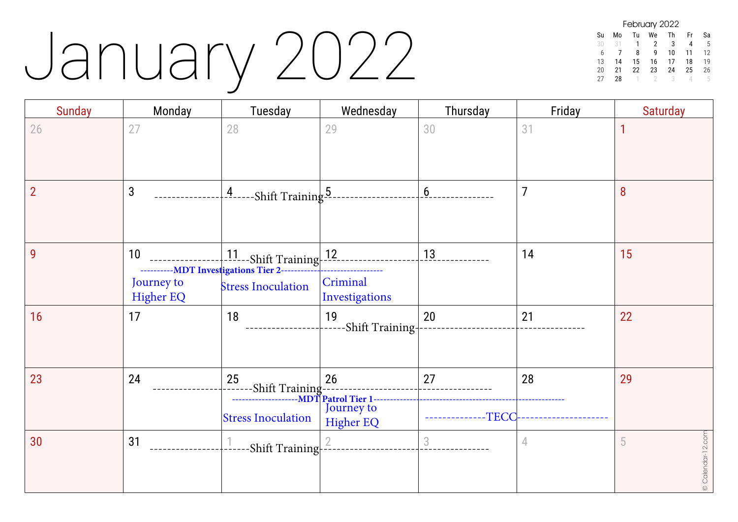## January 2022

| February 2022 |    |    |    |    |    |    |  |  |
|---------------|----|----|----|----|----|----|--|--|
| Su            | Mo | Tu | We | Th | Fr | Sa |  |  |
| 30            | 31 | 1  | 2  | 3  | 4  | 5  |  |  |
| 6             |    | 8  | q  | 10 | 11 | 12 |  |  |
| 13            | 14 | 15 | 16 | 17 | 18 | 19 |  |  |
| 20            | 21 | 22 | 23 | 24 | 25 | 26 |  |  |
| 27            | 28 |    |    | 3  |    | h  |  |  |

| <b>Sunday</b>  | Monday                               | Tuesday                                                                                                   | Wednesday                            | Thursday    | Friday         | <b>Saturday</b>        |
|----------------|--------------------------------------|-----------------------------------------------------------------------------------------------------------|--------------------------------------|-------------|----------------|------------------------|
| 26             | 27                                   | 28                                                                                                        | 29                                   | 30          | 31             |                        |
| $\overline{2}$ | $\mathbf{3}$                         | $\frac{4}{1}$ ------Shift Training 5.                                                                     |                                      | 6           | $\overline{7}$ | 8                      |
| 9              | 10<br>Journey to<br><b>Higher EQ</b> | 11 --- Shift Training-12<br>-----------MDT Investigations Tier 2------------<br><b>Stress Inoculation</b> | Criminal<br>Investigations           | 13          | 14             | 15                     |
| 16             | 17                                   | 18                                                                                                        | 19<br>-Shift Training-               | 20          | 21             | 22                     |
| 23             | 24                                   | 25<br>-Shift Training--------------<br>----------------MDT Patrol Tier 1---<br><b>Stress Inoculation</b>  | 26<br>Journey to<br><b>Higher EQ</b> | 27<br>-TECC | 28             | 29                     |
| 30             | 31                                   | $-$ Shift Training $-$ <sup>2</sup>                                                                       |                                      | $\sqrt{3}$  | 4              | © Calendar-12.com<br>5 |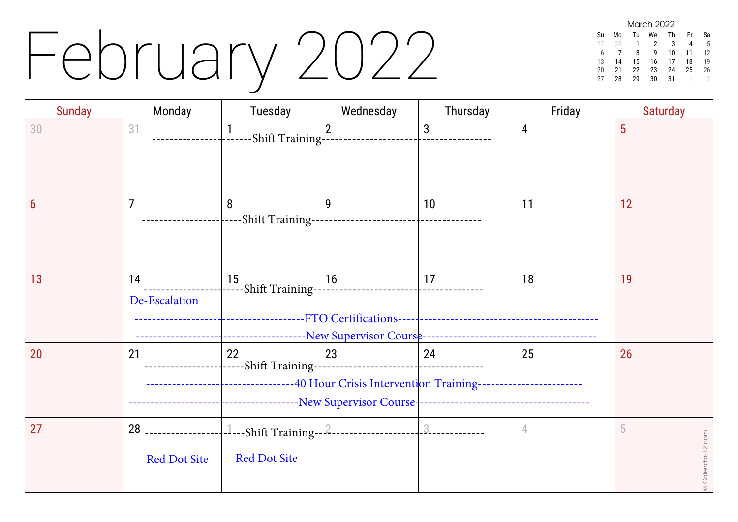## February 2022

March 2022 Su Mo Tu We Th Fr Sa 28 1 2 3 4 5 6 7 8 9 10 11 12 13 14 15 16 17 18 19 20 21 22 23 24 25 26<br>27 28 29 30 31 1 2 28 29 30 31

| <b>Sunday</b> | Monday                                       | Tuesday                                                                                                                           | Wednesday      | Thursday | Friday | <b>Saturday</b>        |
|---------------|----------------------------------------------|-----------------------------------------------------------------------------------------------------------------------------------|----------------|----------|--------|------------------------|
| 30            | 31                                           | 1<br>-Shift Training---                                                                                                           | $\overline{2}$ | 3        | 4      | 5                      |
| 6             | $\overline{7}$                               | 8                                                                                                                                 | 9              | 10       | 11     | 12                     |
| 13            | 14<br>De-Escalation                          | 15<br> -----Shift Training- $\mid$                                                                                                | 16             | 17       | 18     | 19                     |
| 20            | 21                                           | 22<br>------Shift Training-<br>-------------------------------------40 Hour Crisis Intervention Training------------------------- | 23             | 24       | 25     | 26                     |
| 27            | 28 __________________<br><b>Red Dot Site</b> | <b>Red Dot Site</b>                                                                                                               |                |          | 4      | 5<br>© Calendar-12.com |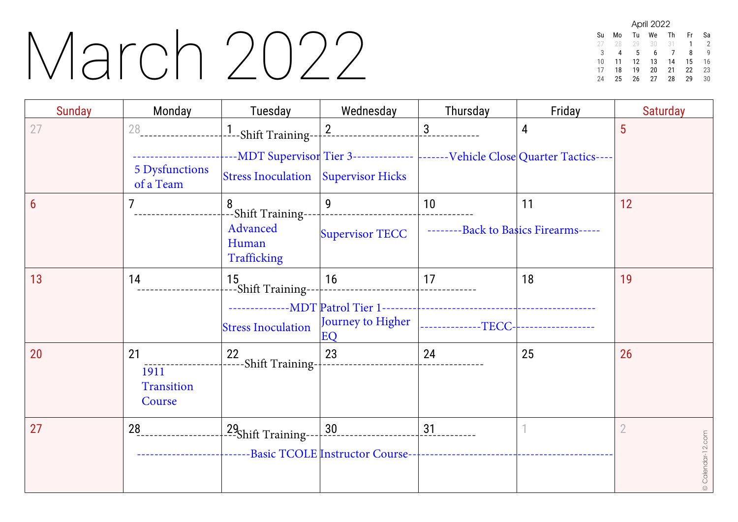#### March 2022

| April 2022 |    |    |    |    |    |    |  |  |
|------------|----|----|----|----|----|----|--|--|
| Su         | Mo | Tu | We | Th | Fr | Sa |  |  |
|            | 28 | 29 | 30 | 31 | 1  | 2  |  |  |
| 3          | 4  | 5  | 6  |    | 8  | g  |  |  |
| 10         | 11 | 12 | 13 | 14 | 15 | 16 |  |  |
| 17         | 18 | 19 | 20 | 21 | 22 | 23 |  |  |
| 24         | 25 | 26 | 27 | 28 | 29 | 30 |  |  |

| <b>Sunday</b> | Monday                                    | Tuesday                                                                | Wednesday                              | Thursday                                                                                           | Friday | <b>Saturday</b>                     |
|---------------|-------------------------------------------|------------------------------------------------------------------------|----------------------------------------|----------------------------------------------------------------------------------------------------|--------|-------------------------------------|
| 27            | 28<br><b>5 Dysfunctions</b><br>of a Team  | $-1$ --Shift Training-- $\vert$<br>Stress Inoculation Supervisor Hicks | $2 -$<br>__________________            | $\frac{3}{2}$<br>----MDT Supervisor Tier 3--------------  -------Vehicle Close Quarter Tactics---- | 4      | 5                                   |
| 6             |                                           | 8<br>-Shift Training--<br>Advanced<br>Human<br>Trafficking             | 9<br><b>Supervisor TECC</b>            | 10<br>--------Back to Basics Firearms-----                                                         | 11     | 12                                  |
| 13            | 14                                        | 15<br>---Shift Training--<br><b>Stress Inoculation</b>                 | 16<br>Journey to Higher<br>EO          | 17<br> --------------TECC- ------------------                                                      | 18     | 19                                  |
| 20            | 21<br>1911<br><b>Transition</b><br>Course | $\frac{22}{1}$ -----Shift Training-                                    | 23                                     | 24                                                                                                 | 25     | 26                                  |
| 27            | 28                                        | -29 <sub>Shift</sub> Training--                                        | 30<br>--Basic TCOLE Instructor Course- | 31                                                                                                 |        | $\overline{2}$<br>© Calendar-12.com |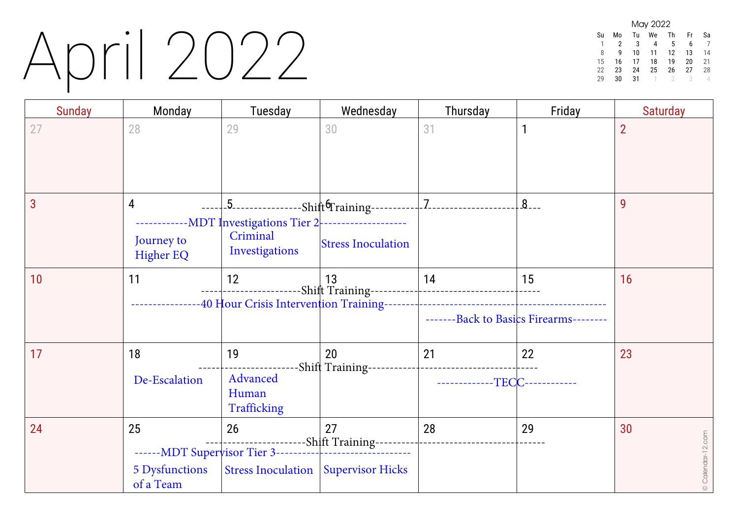### April 2022

|    |    |    | May 2022 |    |    |    |
|----|----|----|----------|----|----|----|
| Su | Mo | Tu | We       | Th | Fr | Sa |
|    | 2  | 3  |          | 5  | 6  |    |
| 8  | q  | 10 | 11       | 12 | 13 | 14 |
| 15 | 16 | 17 | 18       | 19 | 20 | 21 |
| 22 | 23 | 24 | 25       | 26 | 27 | 28 |
| ንባ | 30 | 31 |          |    | २  |    |

| <b>Sunday</b> | Monday                                   | Tuesday                                                                       | Wednesday                                            | Thursday                            | Friday                                       | <b>Saturday</b>         |
|---------------|------------------------------------------|-------------------------------------------------------------------------------|------------------------------------------------------|-------------------------------------|----------------------------------------------|-------------------------|
| 27            | 28                                       | 29                                                                            | 30                                                   | 31                                  | $\mathbf{1}$                                 | $\overline{2}$          |
| 3             | 4<br>Journey to<br><b>Higher EQ</b>      | --MDT Investigations Tier 2 -------------------<br>Criminal<br>Investigations | <b>Stress Inoculation</b>                            |                                     | $8 -$                                        | 9                       |
| 10            | 11                                       | 12                                                                            | 13<br>--40 Hour Crisis Intervention Training-------- | 14                                  | 15<br>-------Back to Basics Firearms-------- | 16                      |
| 17            | 18<br>De-Escalation                      | 19<br>Advanced<br>Human<br>Trafficking                                        | 20<br>-Shift Training------------------------------  | 21<br>-------------TECC------------ | 22                                           | 23                      |
| 24            | 25<br><b>5 Dysfunctions</b><br>of a Team | 26                                                                            | 27<br>Stress Inoculation   Supervisor Hicks          | 28                                  | 29                                           | 30<br>© Calendar-12.com |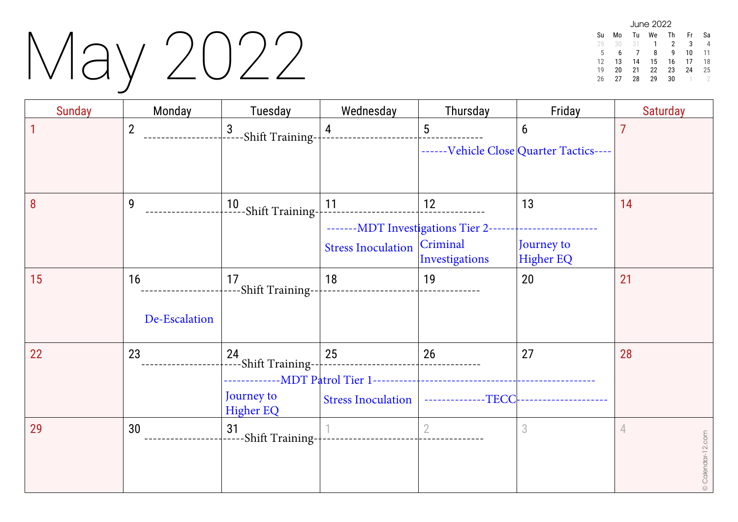# May 2022

| June 2022 |    |    |    |    |    |    |  |  |
|-----------|----|----|----|----|----|----|--|--|
| Su        | M٥ | Tu | We | Th | Fr | Sa |  |  |
| 29        | 30 | 31 | 1  | 2  | 3  |    |  |  |
| 5         | 6  |    | 8  | q  | 10 | 11 |  |  |
| 12        | 13 | 14 | 15 | 16 | 17 | 18 |  |  |
| 19        | 20 | 21 | 22 | 23 | 24 | 25 |  |  |
| 26        | 27 | 28 | 29 | 30 |    |    |  |  |

| <b>Sunday</b> | Monday              | Tuesday                                                                                | Wednesday                                                                | Thursday                 | Friday                                       | <b>Saturday</b>        |
|---------------|---------------------|----------------------------------------------------------------------------------------|--------------------------------------------------------------------------|--------------------------|----------------------------------------------|------------------------|
|               | $\overline{2}$      | $\mathbf{3}$<br>-Shift Training--                                                      | $\overline{4}$                                                           | $5\phantom{.0}$          | 6<br>------Vehicle Close Quarter Tactics---- | $\overline{7}$         |
| 8             | 9                   | 10<br>-----Shift Training-                                                             | 11<br>-------MDT Investigations Tier 2-<br>Stress Inoculation   Criminal | 12<br>Investigations     | 13<br>Journey to<br><b>Higher EQ</b>         | 14                     |
| 15            | 16<br>De-Escalation | 17<br>--Shift Training--                                                               | 18                                                                       | 19                       | 20                                           | 21                     |
| 22            | 23                  | $\downarrow$ 24<br>$\downarrow$ ----Shift Training--<br>Journey to<br><b>Higher EQ</b> | 25<br><b>Stress Inoculation</b>                                          | 26<br>--------------TECC | 27                                           | 28                     |
| 29            | 30                  | 31<br>-Shift Training-                                                                 |                                                                          | $\overline{2}$           | 3                                            | 4<br>© Calendar-12.com |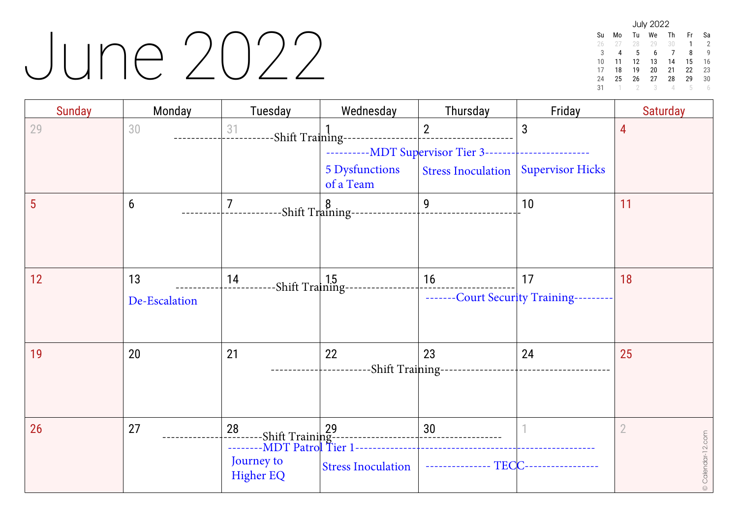#### June 2022

| <b>July 2022</b> |    |    |    |    |    |    |  |  |
|------------------|----|----|----|----|----|----|--|--|
| Su               | Mo | Tu | We | Th | Fr | Sa |  |  |
| 26               | 27 | 28 | 29 | 30 | 1  | 2  |  |  |
| 3                | 4  | 5  | 6  | 7  | 8  | g  |  |  |
| 10               | 11 | 12 | 13 | 14 | 15 | 16 |  |  |
| 17               | 18 | 19 | 20 | 21 | 22 | 23 |  |  |
| 24               | 25 | 26 | 27 | 28 | 29 | 30 |  |  |
| 31               |    |    | 3  | л  | 5  |    |  |  |

| <b>Sunday</b> | Monday              | Tuesday                                                                                                  | Wednesday                                                               | Thursday                         | Friday                                        | <b>Saturday</b>                     |
|---------------|---------------------|----------------------------------------------------------------------------------------------------------|-------------------------------------------------------------------------|----------------------------------|-----------------------------------------------|-------------------------------------|
| 29            | 30                  | 31                                                                                                       | -Shift Training-----------------<br>-----------MDT Supervisor Tier 3--- | $\overline{2}$                   | 3                                             | 4                                   |
|               |                     |                                                                                                          | 5 Dysfunctions<br>of a Team                                             | <b>Stress Inoculation</b>        | <b>Supervisor Hicks</b>                       |                                     |
| 5             | 6                   | 7<br>-Shift Training--                                                                                   |                                                                         | 9                                | 10                                            | 11                                  |
| 12            | 13<br>De-Escalation | 14<br>-Shift Training-                                                                                   |                                                                         | 16                               | 17<br>-------Court Security Training--------- | 18                                  |
| 19            | 20                  | 21                                                                                                       | 22<br>-Shift Training--                                                 | 23                               | 24                                            | 25                                  |
| 26            | 27                  | 28<br>-------Shift Training-------<br>---------MDT Patrol Tier 1<br>28<br>Journey to<br><b>Higher EQ</b> | <b>Stress Inoculation</b>                                               | 30<br>--------------- TECC------ |                                               | $\overline{2}$<br>© Calendar-12.com |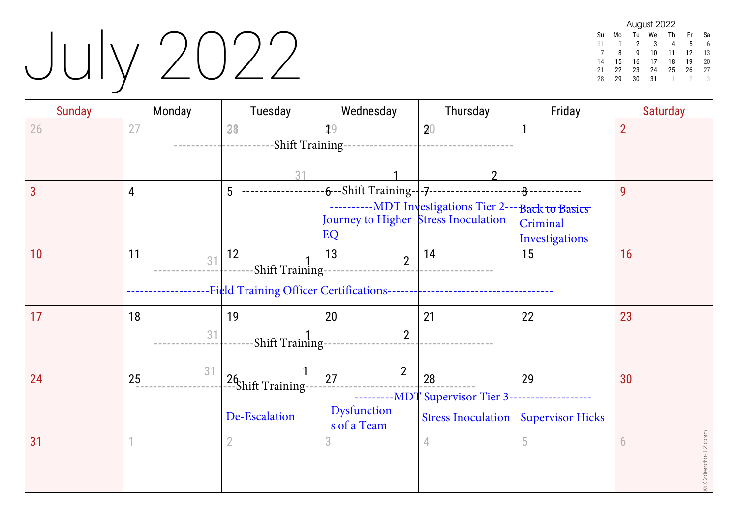# July 2022

| August 2022 |    |    |    |    |    |    |  |  |
|-------------|----|----|----|----|----|----|--|--|
| Su          | Mo | Tu | We | Th | Fr | Sa |  |  |
| 31          |    | 2  | 3  | 4  | 5  | 6  |  |  |
|             | 8  | q  | 10 | 11 | 12 | 13 |  |  |
| 14          | 15 | 16 | 17 | 18 | 19 | 20 |  |  |
| 21          | 22 | 23 | 24 | 25 | 26 | 27 |  |  |
| 28          | 29 | 30 | 31 |    |    |    |  |  |

| <b>Sunday</b> | Monday   | Tuesday                                   | Wednesday                                                                                    | Thursday                                                                   | Friday                                      | <b>Saturday</b>        |
|---------------|----------|-------------------------------------------|----------------------------------------------------------------------------------------------|----------------------------------------------------------------------------|---------------------------------------------|------------------------|
| 26            | 27       | 38<br>31                                  | 29<br>--Shift Training-----------------                                                      | 20                                                                         | $\mathbf{1}$                                | $\overline{2}$         |
| 3             | 4        | 5                                         | $-6$ --Shift Training- $+7$ ------------------<br>Journey to Higher Stress Inoculation<br>EQ | ----------MDT Investigations Tier 2-- Back to Basics                       | 8------------<br>Criminal<br>Investigations | 9                      |
| 10            | 11<br>31 | 12<br>-Shift Training--                   | 13<br>$\overline{2}$                                                                         | 14                                                                         | 15                                          | 16                     |
| 17            | 18<br>31 | 19<br>-Shift Training                     | 20<br>$\overline{2}$                                                                         | 21                                                                         | 22                                          | 23                     |
| 24            | 31<br>25 | 26<br>---Shift Training-<br>De-Escalation | 2<br>27<br>Dysfunction<br>s of a Team                                                        | 28<br>----MDT Supervisor Tier 3--<br>Stress Inoculation   Supervisor Hicks | 29                                          | 30                     |
| 31            |          | $\overline{2}$                            | 3                                                                                            | 4                                                                          | 5                                           | © Calendar-12.com<br>6 |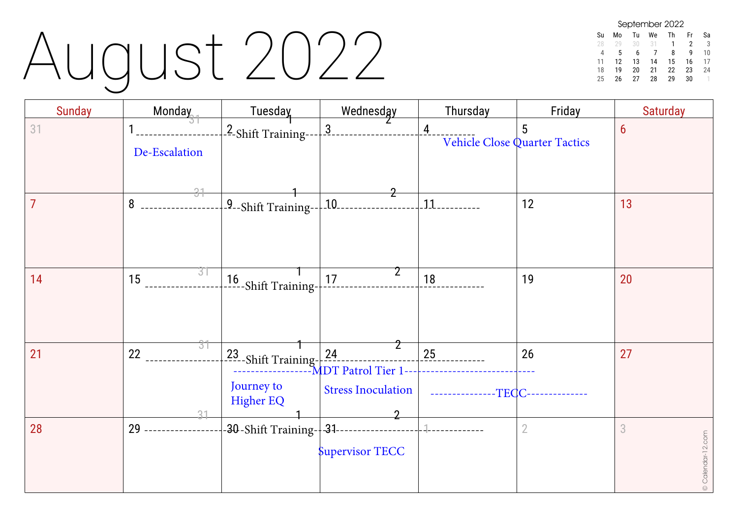### August 2022

| September 2022 |    |    |    |    |    |    |  |  |
|----------------|----|----|----|----|----|----|--|--|
| Su             | Mo | Tu | We | Th | Fr | Sа |  |  |
| 28             | 20 | 30 | 31 |    | 2  | 3  |  |  |
| 4              | 5  | 6  |    | 8  | q  | 10 |  |  |
| 11             | 12 | 13 | 14 | 15 | 16 | 17 |  |  |
| 18             | 19 | 20 | 21 | 22 | 23 | 24 |  |  |
| 25             | 26 | 27 | 28 | 29 | 30 |    |  |  |

| <b>Sunday</b> | Monday         | Tuesday                                                      | Wednesday                                         | Thursday                             | Friday                             | <b>Saturday</b>        |
|---------------|----------------|--------------------------------------------------------------|---------------------------------------------------|--------------------------------------|------------------------------------|------------------------|
| 31            | De-Escalation  | - <sup>2</sup> -Shift Training--                             | $\overline{3}$ .                                  | 4                                    | 5<br>Vehicle Close Quarter Tactics | $6\overline{6}$        |
|               | 31<br>$8 -$    | $\frac{1}{2}$ -Shift Training-- $\frac{1}{2}$ 10.            | 2                                                 | $-11$                                | 12                                 | 13                     |
| 14            | 31<br>15       | $16$<br>-----Shift Training-                                 | 17                                                | 18                                   | 19                                 | 20                     |
| 21            | 31<br>22<br>31 | $23$ -Shift Training- $24$<br>Journey to<br><b>Higher EQ</b> | -MDT Patrol Tier 1--<br><b>Stress Inoculation</b> | 25<br>-TECC-<br><u>_____________</u> | 26                                 | 27                     |
| 28            | $29 -$         | -30-Shift Training- 31-----------------                      | <b>Supervisor TECC</b>                            |                                      | $\overline{2}$                     | 3<br>© Calendar-12.com |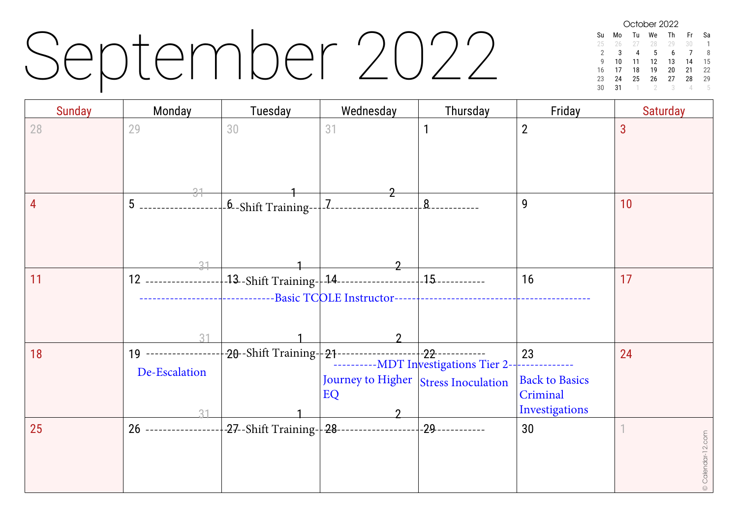### September 2022

October 2022 Su Mo Tu We Th Fr Sa 25 26 27 28 29 30 1 2 3 4 5 6 7 8<br>9 10 11 12 13 14 15 9 10 11 12 13 14 15 16 17 18 19 20 21 22  $\begin{array}{cccc} 23 & 24 & 25 & 26 & 27 \\ 30 & 31 & 1 & 2 & 3 \end{array}$ 30 31 1 2 3 4 5

| <b>Sunday</b> | Monday                                       | Tuesday                   | Wednesday                                             | Thursday        | Friday                                                         | <b>Saturday</b>   |
|---------------|----------------------------------------------|---------------------------|-------------------------------------------------------|-----------------|----------------------------------------------------------------|-------------------|
| 28            | 29                                           | 30                        | 31                                                    |                 | $\overline{2}$                                                 | 3                 |
| 4             | $5$<br>$-31$                                 | -6-Shift Training--       | .7.                                                   | 8               | 9                                                              | 10                |
| 11            | 12 ------------------<br>31                  |                           | --Basic TCOLE Instructor----------------------------- |                 | 16                                                             | 17                |
| 18            | 19 ------------------<br>De-Escalation<br>21 |                           | Journey to Higher Stress Inoculation<br>EQ            |                 | 23<br>.<br><b>Back to Basics</b><br>Criminal<br>Investigations | 24                |
| 25            | 26 ------------------                        | -27--Shift Training- 28-- |                                                       | --------------- | 30                                                             | © Calendar-12.com |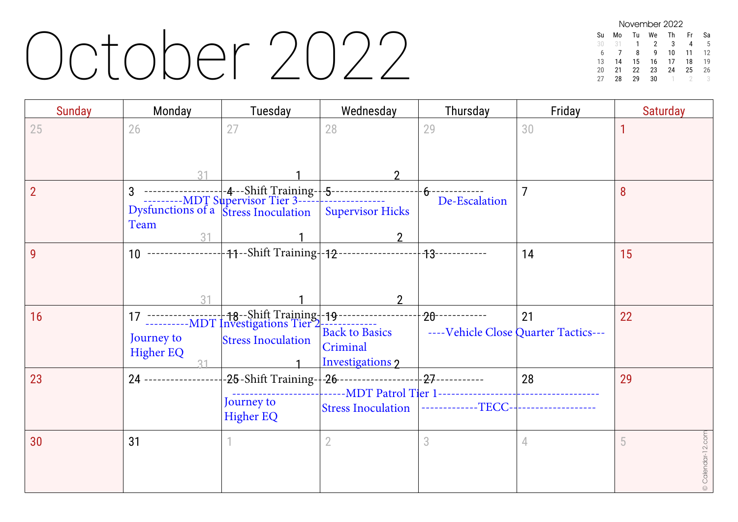#### October 2022

| November 2022 |    |    |    |    |    |    |  |  |
|---------------|----|----|----|----|----|----|--|--|
| Su            | M٥ | Tu | We | Th | Fr | Sа |  |  |
| 30            | 31 | 1  | 2  | 3  |    | 5  |  |  |
| 6             |    | 8  | q  | 10 | 11 | 12 |  |  |
| 13            | 14 | 15 | 16 | 17 | 18 | 19 |  |  |
| 20            | 21 | 22 | 23 | 24 | 25 | 26 |  |  |
| 27            | 28 | 29 | 30 |    |    |    |  |  |

| <b>Sunday</b> | Monday                         | Tuesday                        | Wednesday                                                    | Thursday                                | Friday                                     | Saturday               |
|---------------|--------------------------------|--------------------------------|--------------------------------------------------------------|-----------------------------------------|--------------------------------------------|------------------------|
| 25            | 26                             | 27                             | 28<br>$\mathfrak{D}$                                         | 29                                      | 30                                         |                        |
|               | Team<br>31                     |                                | <b>Supervisor Hicks</b>                                      | ---------------<br>De-Escalation        |                                            | 8                      |
| 9             | 31                             |                                | $\mathfrak{D}$                                               | ----------------                        | 14                                         | 15                     |
| 16            | Journey to<br><b>Higher EQ</b> | <b>Stress Inoculation</b>      | <b>Back to Basics</b><br>Criminal<br><b>Investigations 2</b> |                                         | 21<br>----Vehicle Close Quarter Tactics--- | 22                     |
| 23            | 24 -----------------           | Journey to<br><b>Higher EQ</b> |                                                              | Stress Inoculation  -------------TECC-- | 28<br>------------------                   | 29                     |
| 30            | 31                             |                                | 2                                                            | 3                                       | 4                                          | © Calendar-12.com<br>5 |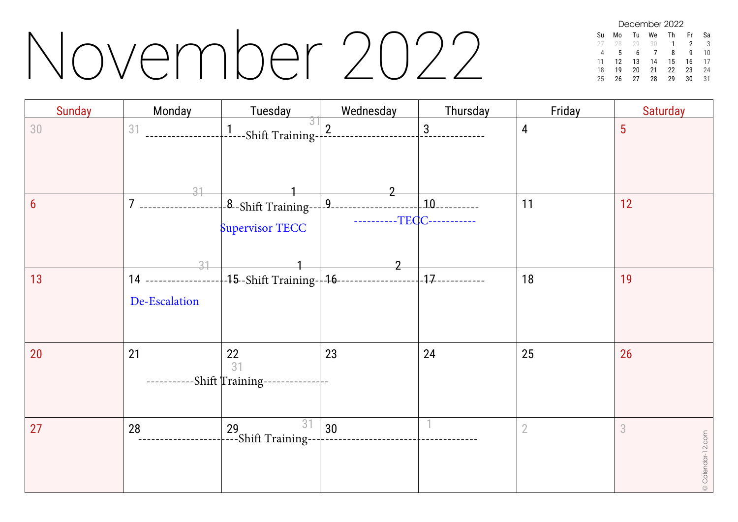#### November 2022

December 2022 Su Mo Tu We Th Fr Sa 28 29 30 1 2 3 4 5 6 7 8 9 10 11 12 13 14 15 16 17 18 19 20 21 22 23 24 25 26 27 28 29

| <b>Sunday</b> | Monday                               | Tuesday                                                                       | Wednesday                                  | Thursday | Friday         | <b>Saturday</b>        |
|---------------|--------------------------------------|-------------------------------------------------------------------------------|--------------------------------------------|----------|----------------|------------------------|
| 30            | 31                                   | $\frac{1}{2}$ ---Shift Training-                                              | 2                                          | 3        | 4              | 5                      |
| 6             | 31<br>$7$ ----------<br>31           | Supervisor TECC                                                               | ----------TECC-----------<br>$\mathcal{P}$ |          | 11             | 12                     |
| 13            | 14 ----------------<br>De-Escalation | -15-Shift Training--16---                                                     |                                            |          | 18             | 19                     |
| 20            | 21                                   | $\frac{22}{31}$<br>-Shift Training--                                          | 23                                         | 24       | 25             | 26                     |
| 27            | 28                                   | 31<br>$\begin{array}{c}\n 29 \\ \leftarrow\text{-Shift Training} \end{array}$ | 30                                         |          | $\overline{2}$ | 3<br>© Calendar-12.com |